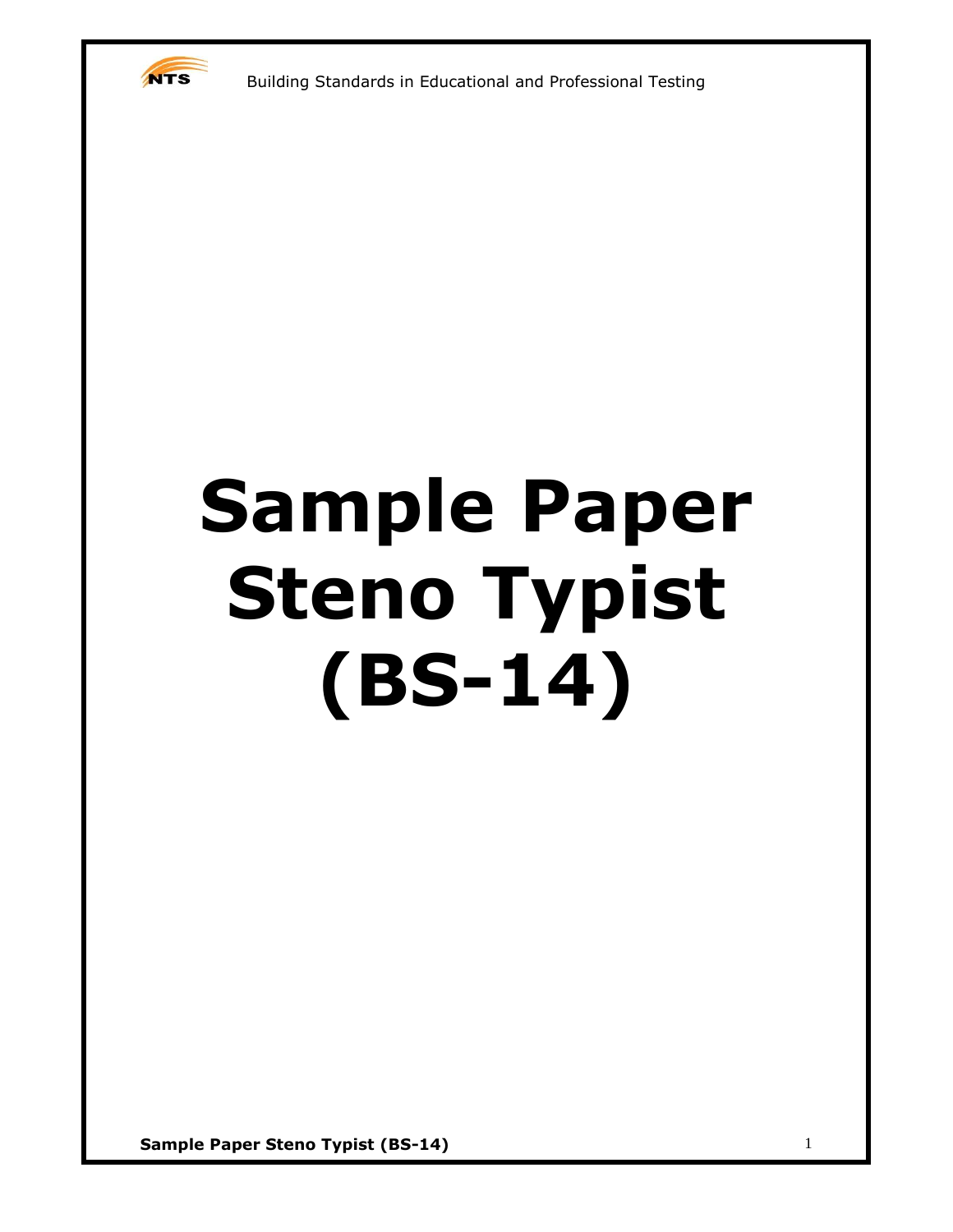

# **Sample Paper Steno Typist (BS-14)**

**Sample Paper Steno Typist (BS-14)** 1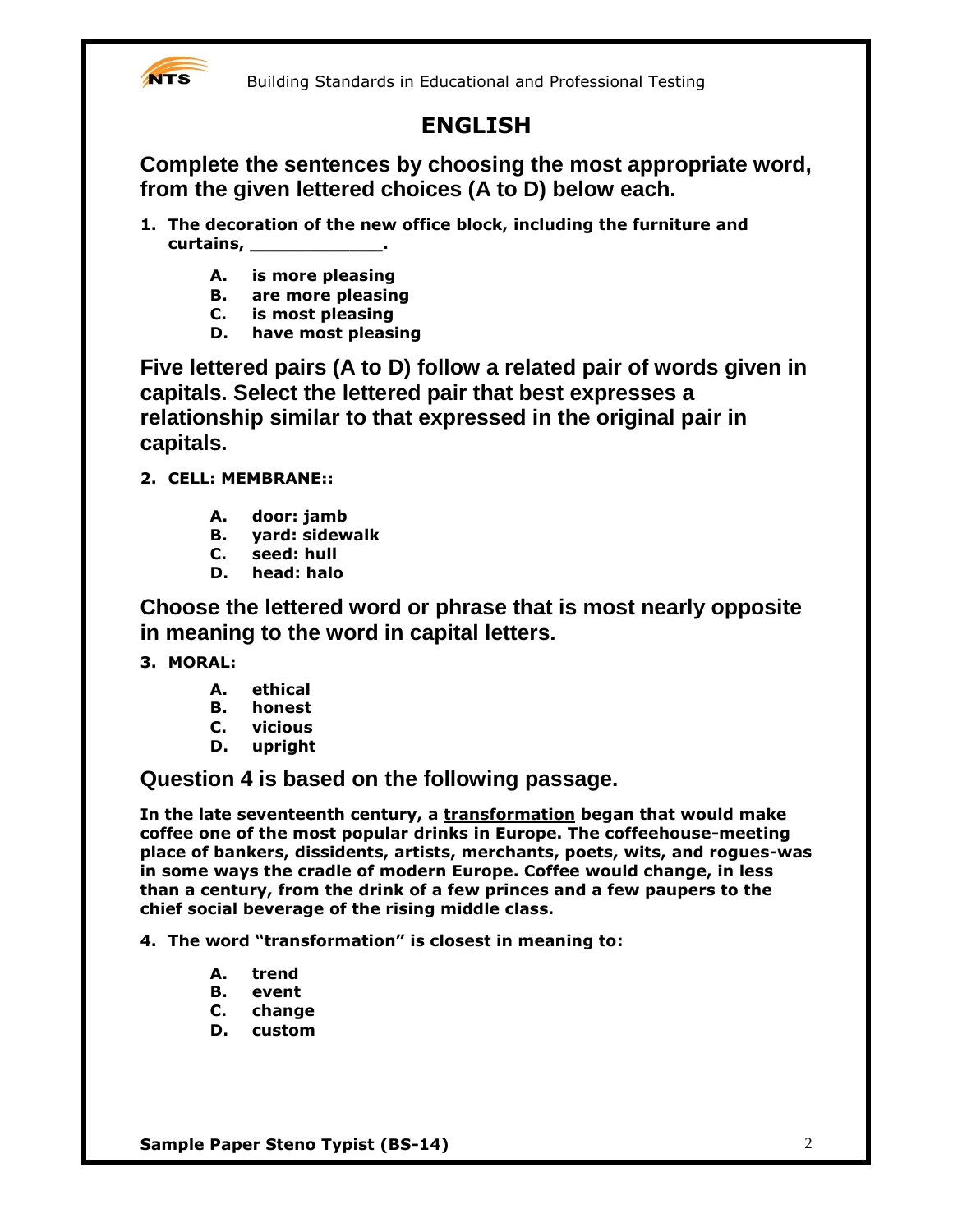

## **ENGLISH**

**Complete the sentences by choosing the most appropriate word, from the given lettered choices (A to D) below each.**

- **1. The decoration of the new office block, including the furniture and curtains, \_\_\_\_\_\_\_\_\_\_\_\_.**
	- **A. is more pleasing**
	- **B. are more pleasing**
	- **C. is most pleasing**
	- **D. have most pleasing**

**Five lettered pairs (A to D) follow a related pair of words given in capitals. Select the lettered pair that best expresses a relationship similar to that expressed in the original pair in capitals.**

- **2. CELL: MEMBRANE::**
	- **A. door: jamb**
	- **B. yard: sidewalk**
	- **C. seed: hull**
	- **D. head: halo**

**Choose the lettered word or phrase that is most nearly opposite in meaning to the word in capital letters.**

- **3. MORAL:**
	- **A. ethical**
	- **B. honest**
	- **C. vicious**
	- **D. upright**

**Question 4 is based on the following passage.**

**In the late seventeenth century, a transformation began that would make coffee one of the most popular drinks in Europe. The coffeehouse-meeting place of bankers, dissidents, artists, merchants, poets, wits, and rogues-was in some ways the cradle of modern Europe. Coffee would change, in less than a century, from the drink of a few princes and a few paupers to the chief social beverage of the rising middle class.**

**4. The word "transformation" is closest in meaning to:**

- **A. trend**
- **B. event**
- **C. change**
- **D. custom**

**Sample Paper Steno Typist (BS-14)** 2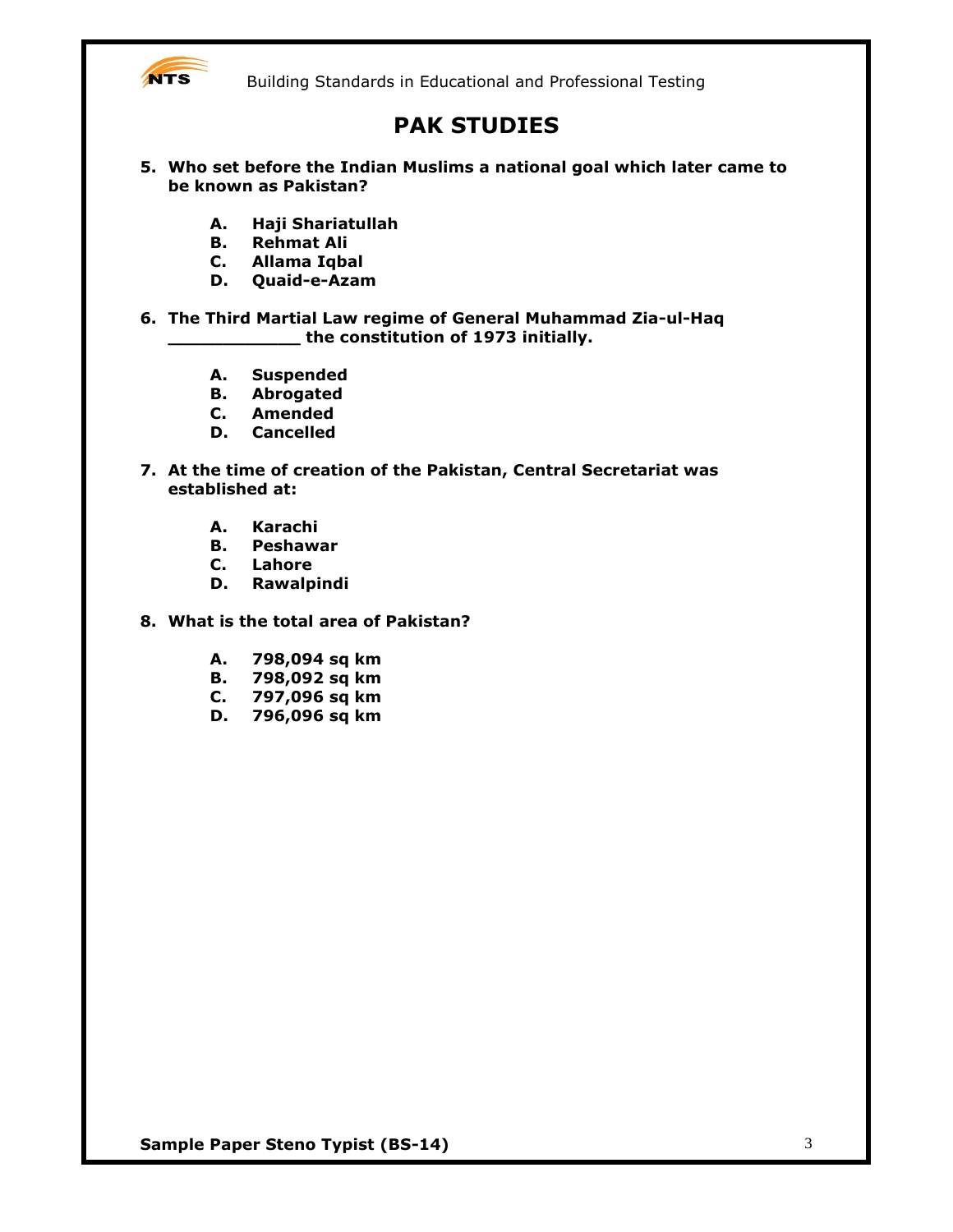

## **PAK STUDIES**

- **5. Who set before the Indian Muslims a national goal which later came to be known as Pakistan?**
	- **A. Haji Shariatullah**
	- **B. Rehmat Ali**
	- **C. Allama Iqbal**
	- **D. Quaid-e-Azam**

**6. The Third Martial Law regime of General Muhammad Zia-ul-Haq \_\_\_\_\_\_\_\_\_\_\_\_ the constitution of 1973 initially.**

- **A. Suspended**
- **B. Abrogated**
- **C. Amended**
- **D. Cancelled**
- **7. At the time of creation of the Pakistan, Central Secretariat was established at:**
	- **A. Karachi**
	- **B. Peshawar**
	- **C. Lahore**
	- **D. Rawalpindi**
- **8. What is the total area of Pakistan?**
	- **A. 798,094 sq km**
	- **B. 798,092 sq km**
	- **C. 797,096 sq km**
	- **D. 796,096 sq km**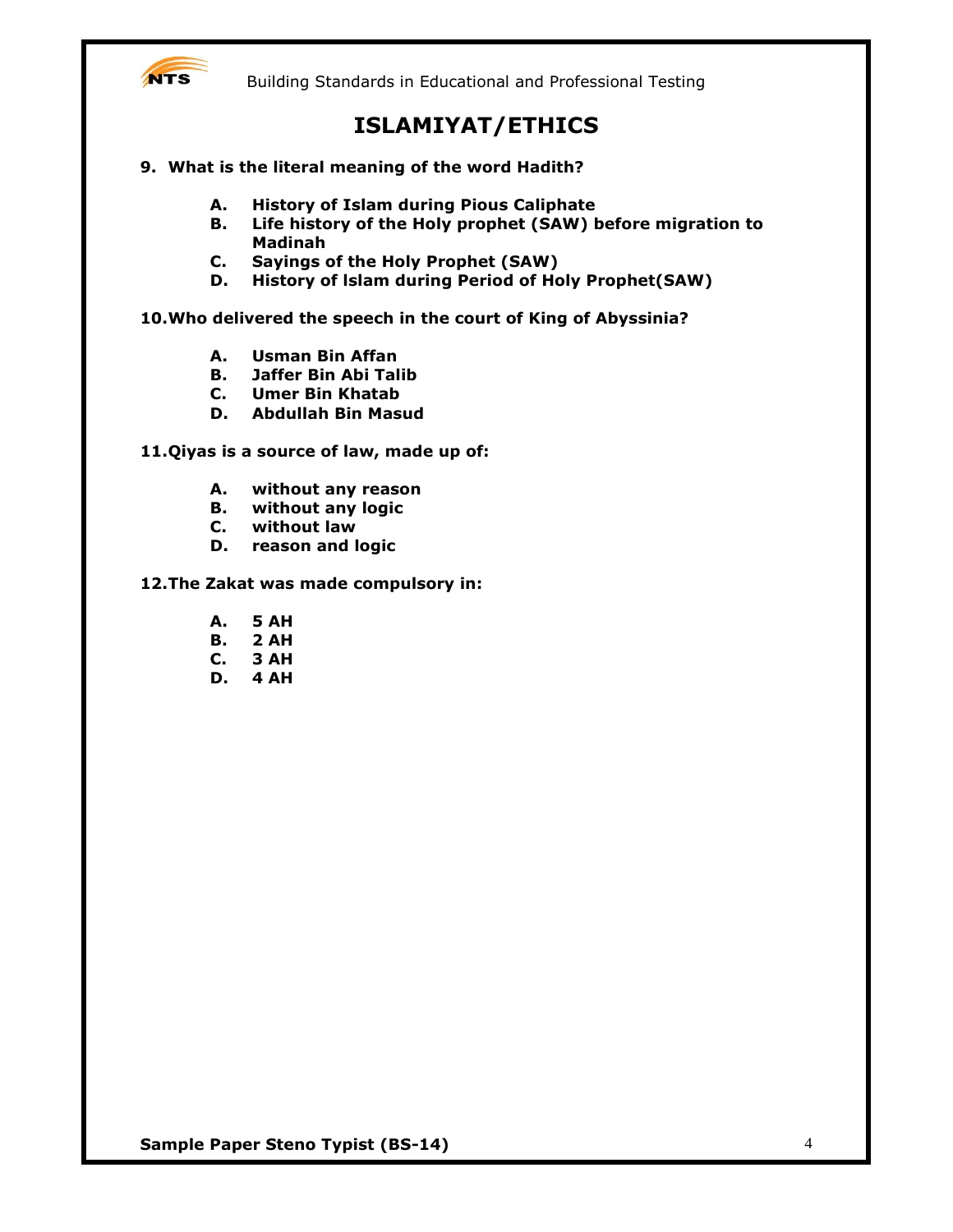

## **ISLAMIYAT/ETHICS**

- **9. What is the literal meaning of the word Hadith?**
	- **A. History of Islam during Pious Caliphate**
	- **B. Life history of the Holy prophet (SAW) before migration to Madinah**
	- **C. Sayings of the Holy Prophet (SAW)**
	- **D. History of lslam during Period of Holy Prophet(SAW)**

#### **10.Who delivered the speech in the court of King of Abyssinia?**

- **A. Usman Bin Affan**
- **B. Jaffer Bin Abi Talib**
- **C. Umer Bin Khatab**
- **D. Abdullah Bin Masud**

#### **11.Qiyas is a source of law, made up of:**

- **A. without any reason**
- **B. without any logic**
- **C. without law**
- **D. reason and logic**

#### **12.The Zakat was made compulsory in:**

- **A. 5 AH**
- **B. 2 AH**
- **C. 3 AH**
- **D. 4 AH**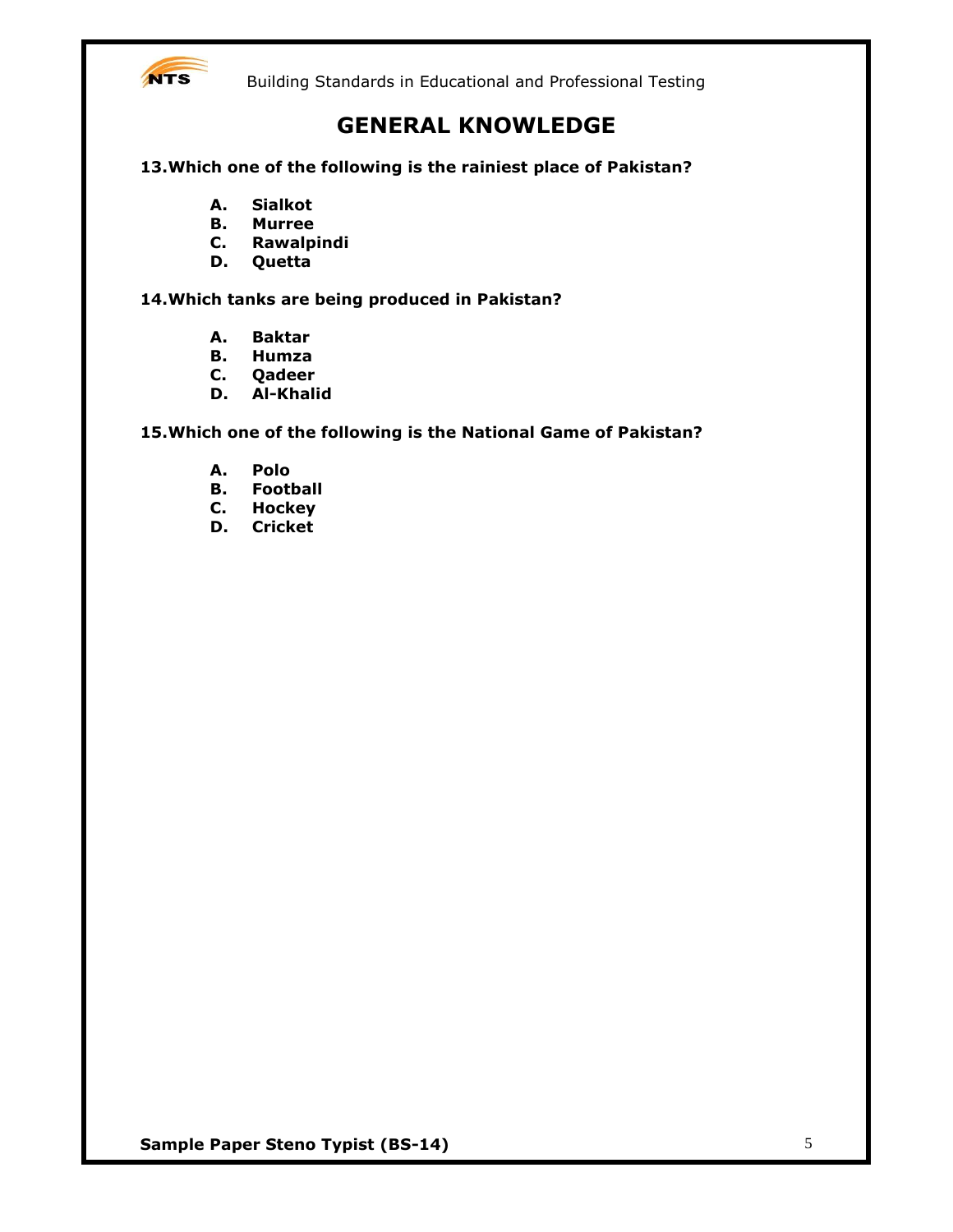

## **GENERAL KNOWLEDGE**

**13.Which one of the following is the rainiest place of Pakistan?**

- **A. Sialkot**
- **B. Murree**
- **C. Rawalpindi**
- **D. Quetta**

**14.Which tanks are being produced in Pakistan?**

- **A. Baktar**
- **B. Humza**
- **C. Qadeer**
- **D. Al-Khalid**

**15.Which one of the following is the National Game of Pakistan?**

- **A. Polo**
- **B. Football**
- **C. Hockey**
- **D. Cricket**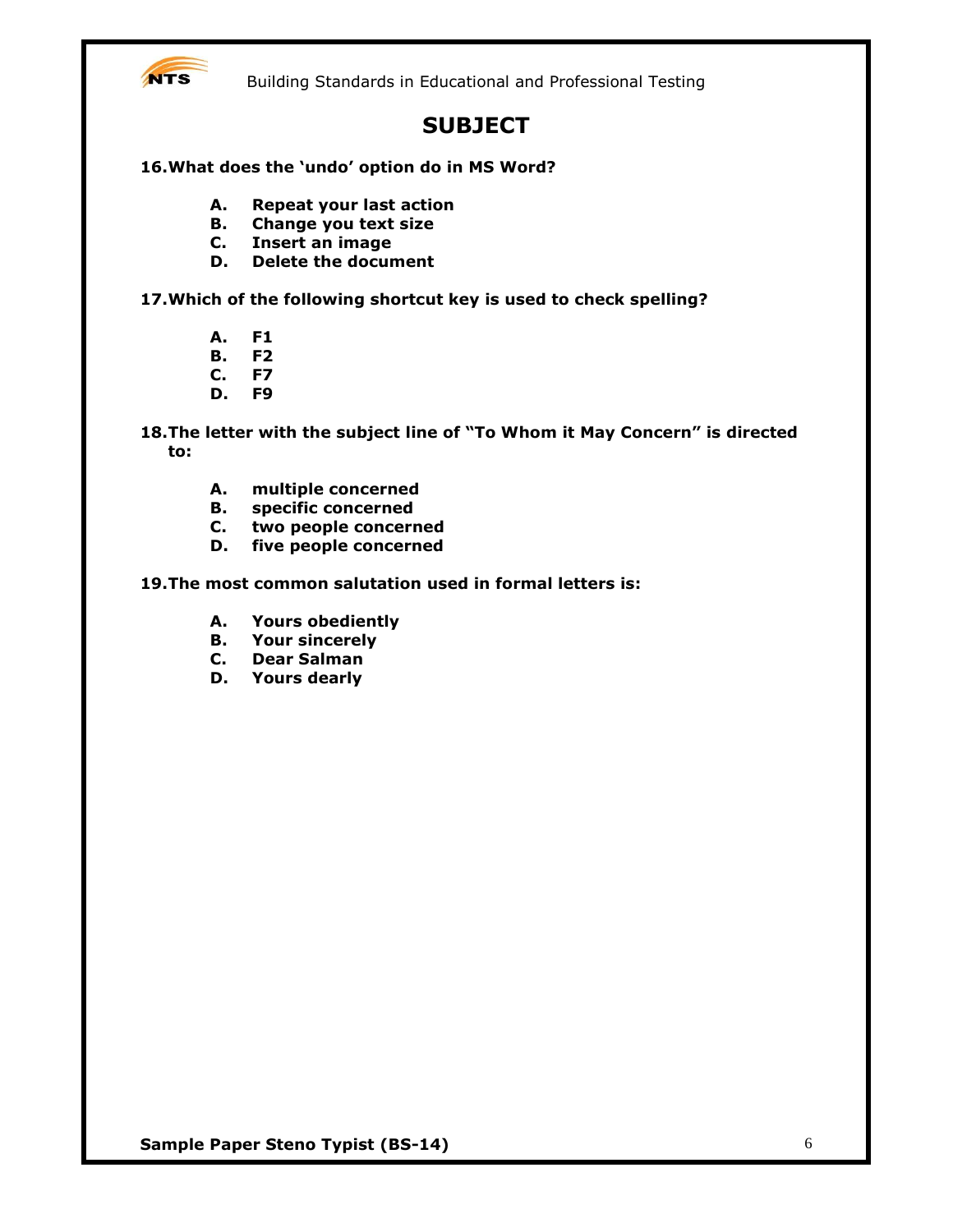

## **SUBJECT**

**16.What does the 'undo' option do in MS Word?**

- **A. Repeat your last action**
- **B. Change you text size**
- **C. Insert an image**
- **D. Delete the document**

**17.Which of the following shortcut key is used to check spelling?**

- **A. F1**
- **B. F2**
- **C. F7**
- **D. F9**

**18.The letter with the subject line of "To Whom it May Concern" is directed to:**

- **A. multiple concerned**
- **B. specific concerned**
- **C. two people concerned**
- **D. five people concerned**
- **19.The most common salutation used in formal letters is:**
	- **A. Yours obediently**
	- **B. Your sincerely**
	- **C. Dear Salman**
	- **D. Yours dearly**